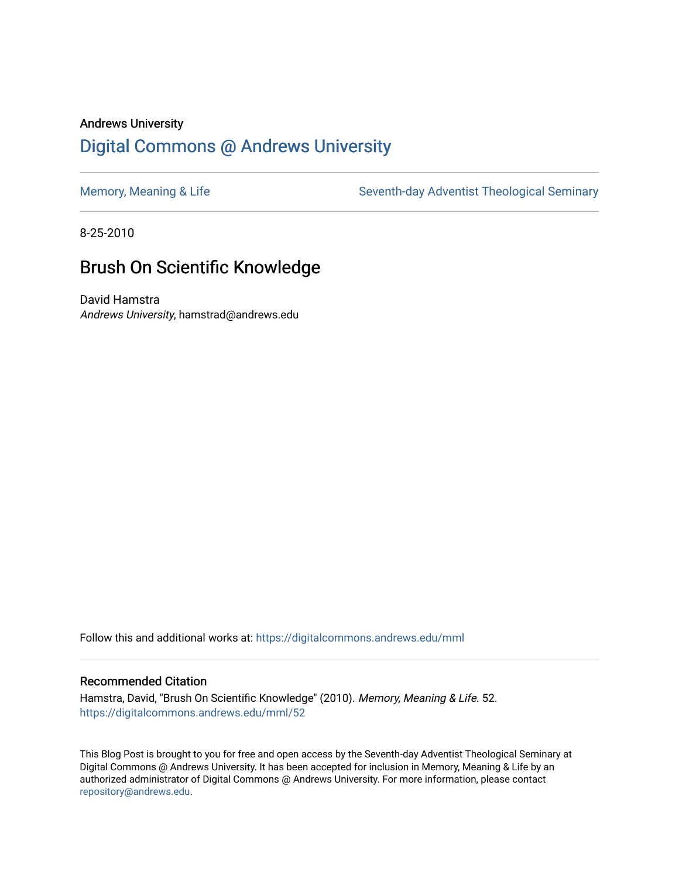## Andrews University [Digital Commons @ Andrews University](https://digitalcommons.andrews.edu/)

[Memory, Meaning & Life](https://digitalcommons.andrews.edu/mml) Seventh-day Adventist Theological Seminary

8-25-2010

# Brush On Scientific Knowledge

David Hamstra Andrews University, hamstrad@andrews.edu

Follow this and additional works at: [https://digitalcommons.andrews.edu/mml](https://digitalcommons.andrews.edu/mml?utm_source=digitalcommons.andrews.edu%2Fmml%2F52&utm_medium=PDF&utm_campaign=PDFCoverPages) 

#### Recommended Citation

Hamstra, David, "Brush On Scientific Knowledge" (2010). Memory, Meaning & Life. 52. [https://digitalcommons.andrews.edu/mml/52](https://digitalcommons.andrews.edu/mml/52?utm_source=digitalcommons.andrews.edu%2Fmml%2F52&utm_medium=PDF&utm_campaign=PDFCoverPages)

This Blog Post is brought to you for free and open access by the Seventh-day Adventist Theological Seminary at Digital Commons @ Andrews University. It has been accepted for inclusion in Memory, Meaning & Life by an authorized administrator of Digital Commons @ Andrews University. For more information, please contact [repository@andrews.edu](mailto:repository@andrews.edu).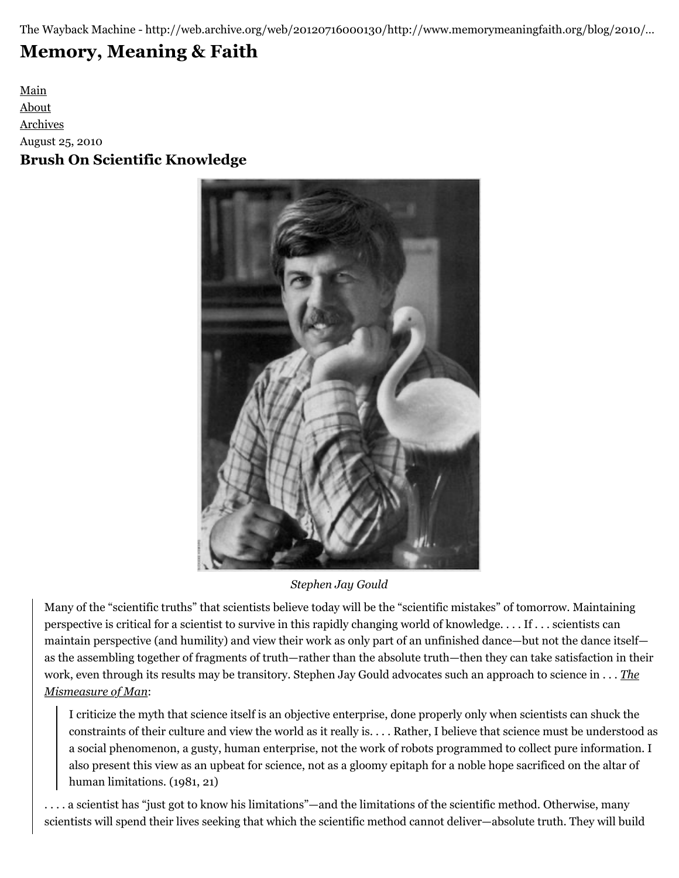The Wayback Machine - http://web.archive.org/web/20120716000130/http://www.memorymeaningfaith.org/blog/2010/…

# **[Memory, Meaning & Faith](http://web.archive.org/web/20120716000130/http://www.memorymeaningfaith.org/blog/)**

[Main](http://web.archive.org/web/20120716000130/http://www.memorymeaningfaith.org/blog) [About](http://web.archive.org/web/20120716000130/http://www.memorymeaningfaith.org/blog/about.html) [Archives](http://web.archive.org/web/20120716000130/http://www.memorymeaningfaith.org/blog/archives.html) August 25, 2010 **Brush On Scientific Knowledge**



*Stephen Jay Gould*

Many of the "scientific truths" that scientists believe today will be the "scientific mistakes" of tomorrow. Maintaining perspective is critical for a scientist to survive in this rapidly changing world of knowledge. . . . If . . . scientists can maintain perspective (and humility) and view their work as only part of an unfinished dance—but not the dance itself as the assembling together of fragments of truth—rather than the absolute truth—then they can take satisfaction in their [work, even through its results may be transitory. Stephen Jay Gould advocates such an approach to science in . . .](http://web.archive.org/web/20120716000130/http://en.wikipedia.org/wiki/The_Mismeasure_of_Man) *The Mismeasure of Man*:

I criticize the myth that science itself is an objective enterprise, done properly only when scientists can shuck the constraints of their culture and view the world as it really is. . . . Rather, I believe that science must be understood as a social phenomenon, a gusty, human enterprise, not the work of robots programmed to collect pure information. I also present this view as an upbeat for science, not as a gloomy epitaph for a noble hope sacrificed on the altar of human limitations. (1981, 21)

. . . . a scientist has "just got to know his limitations"—and the limitations of the scientific method. Otherwise, many scientists will spend their lives seeking that which the scientific method cannot deliver—absolute truth. They will build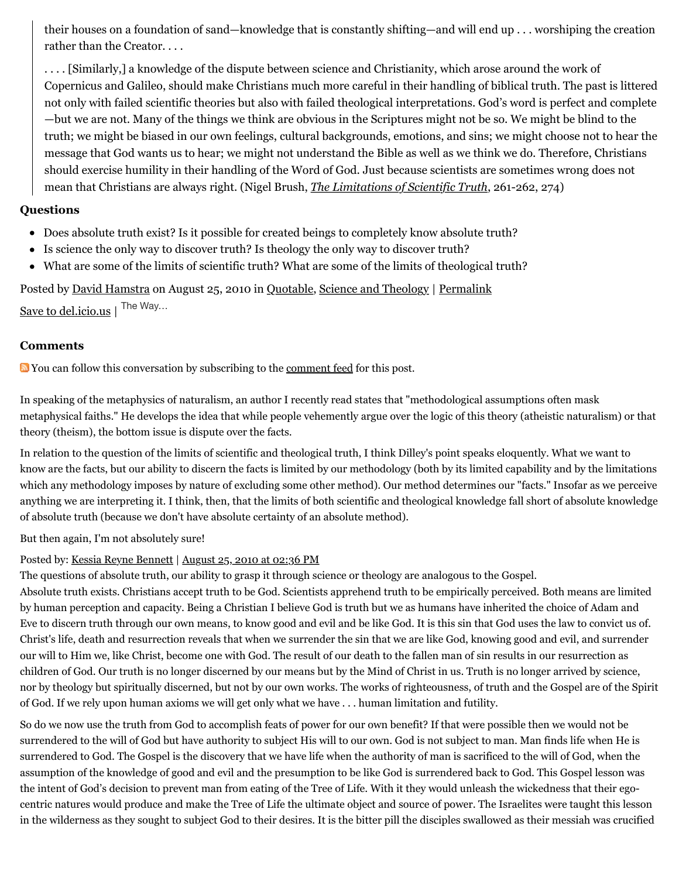their houses on a foundation of sand—knowledge that is constantly shifting—and will end up . . . worshiping the creation rather than the Creator. . . .

. . . . [Similarly,] a knowledge of the dispute between science and Christianity, which arose around the work of Copernicus and Galileo, should make Christians much more careful in their handling of biblical truth. The past is littered not only with failed scientific theories but also with failed theological interpretations. God's word is perfect and complete —but we are not. Many of the things we think are obvious in the Scriptures might not be so. We might be blind to the truth; we might be biased in our own feelings, cultural backgrounds, emotions, and sins; we might choose not to hear the message that God wants us to hear; we might not understand the Bible as well as we think we do. Therefore, Christians should exercise humility in their handling of the Word of God. Just because scientists are sometimes wrong does not mean that Christians are always right. (Nigel Brush, *[The Limitations of Scientific Truth](http://web.archive.org/web/20120716000130/http://books.google.com/books?id=baZPTTwk3woC&printsec=frontcover&dq=limitations+scientific+truth+nigel+brush&source=bl&ots=o7oe2RhKyi&sig=YcOfD2aH-TY24wfjtUUbjvHlUBo&hl=en&ei=X9JxTJvpHsTUngewhsjnBg&sa=X&oi=book_result&ct=result&resnum=1&ved=0CBIQ6AEwAA#v=)*, 261-262, 274)

#### **Questions**

- Does absolute truth exist? Is it possible for created beings to completely know absolute truth?
- Is science the only way to discover truth? Is theology the only way to discover truth?
- What are some of the limits of scientific truth? What are some of the limits of theological truth?

Posted by [David Hamstra](http://web.archive.org/web/20120716000130/http://profile.typepad.com/davidhamstra) on August 25, 2010 in [Quotable,](http://web.archive.org/web/20120716000130/http://www.memorymeaningfaith.org/blog/sources/) [Science and Theology](http://web.archive.org/web/20120716000130/http://www.memorymeaningfaith.org/blog/science-and-theology/) | [Permalink](http://web.archive.org/web/20120716000130/http://www.memorymeaningfaith.org/blog/2010/08/brush-scientific-knowledge.html)

[Save to del.icio.us](http://web.archive.org/web/20120716000130/http://del.icio.us/post) | The Way...

#### **Comments**

You can follow this conversation by subscribing to the [comment feed](http://web.archive.org/web/20120716000130/http://www.memorymeaningfaith.org/blog/2010/08/brush-scientific-knowledge/comments/atom.xml) for this post.

In speaking of the metaphysics of naturalism, an author I recently read states that "methodological assumptions often mask metaphysical faiths." He develops the idea that while people vehemently argue over the logic of this theory (atheistic naturalism) or that theory (theism), the bottom issue is dispute over the facts.

In relation to the question of the limits of scientific and theological truth, I think Dilley's point speaks eloquently. What we want to know are the facts, but our ability to discern the facts is limited by our methodology (both by its limited capability and by the limitations which any methodology imposes by nature of excluding some other method). Our method determines our "facts." Insofar as we perceive anything we are interpreting it. I think, then, that the limits of both scientific and theological knowledge fall short of absolute knowledge of absolute truth (because we don't have absolute certainty of an absolute method).

But then again, I'm not absolutely sure!

#### Posted by: [Kessia Reyne Bennett](http://web.archive.org/web/20120716000130/http://profile.typepad.com/kessiareyne) | [August 25, 2010 at 02:36 PM](http://web.archive.org/web/20120716000130/http://www.memorymeaningfaith.org/blog/2010/08/brush-scientific-knowledge.html?cid=6a01287656f488970c0133f351995c970b#comment-6a01287656f488970c0133f351995c970b)

The questions of absolute truth, our ability to grasp it through science or theology are analogous to the Gospel.

Absolute truth exists. Christians accept truth to be God. Scientists apprehend truth to be empirically perceived. Both means are limited by human perception and capacity. Being a Christian I believe God is truth but we as humans have inherited the choice of Adam and Eve to discern truth through our own means, to know good and evil and be like God. It is this sin that God uses the law to convict us of. Christ's life, death and resurrection reveals that when we surrender the sin that we are like God, knowing good and evil, and surrender our will to Him we, like Christ, become one with God. The result of our death to the fallen man of sin results in our resurrection as children of God. Our truth is no longer discerned by our means but by the Mind of Christ in us. Truth is no longer arrived by science, nor by theology but spiritually discerned, but not by our own works. The works of righteousness, of truth and the Gospel are of the Spirit of God. If we rely upon human axioms we will get only what we have . . . human limitation and futility.

So do we now use the truth from God to accomplish feats of power for our own benefit? If that were possible then we would not be surrendered to the will of God but have authority to subject His will to our own. God is not subject to man. Man finds life when He is surrendered to God. The Gospel is the discovery that we have life when the authority of man is sacrificed to the will of God, when the assumption of the knowledge of good and evil and the presumption to be like God is surrendered back to God. This Gospel lesson was the intent of God's decision to prevent man from eating of the Tree of Life. With it they would unleash the wickedness that their egocentric natures would produce and make the Tree of Life the ultimate object and source of power. The Israelites were taught this lesson in the wilderness as they sought to subject God to their desires. It is the bitter pill the disciples swallowed as their messiah was crucified